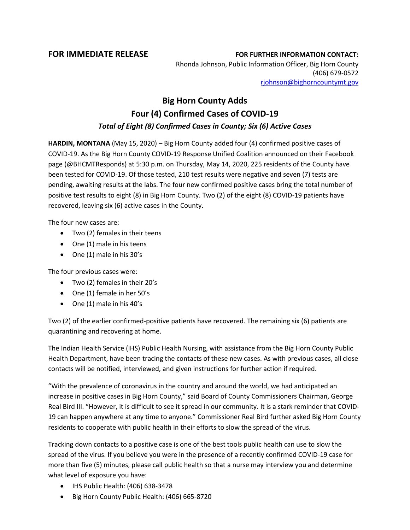## **FOR IMMEDIATE RELEASE FOR FURTHER INFORMATION CONTACT:**

Rhonda Johnson, Public Information Officer, Big Horn County (406) 679-0572 [rjohnson@bighorncountymt.gov](mailto:rjohnson@bighorncountymt.gov)

## **Big Horn County Adds Four (4) Confirmed Cases of COVID-19** *Total of Eight (8) Confirmed Cases in County; Six (6) Active Cases*

**HARDIN, MONTANA** (May 15, 2020) – Big Horn County added four (4) confirmed positive cases of COVID-19. As the Big Horn County COVID-19 Response Unified Coalition announced on their Facebook page (@BHCMTResponds) at 5:30 p.m. on Thursday, May 14, 2020, 225 residents of the County have been tested for COVID-19. Of those tested, 210 test results were negative and seven (7) tests are pending, awaiting results at the labs. The four new confirmed positive cases bring the total number of positive test results to eight (8) in Big Horn County. Two (2) of the eight (8) COVID-19 patients have recovered, leaving six (6) active cases in the County.

The four new cases are:

- Two (2) females in their teens
- One (1) male in his teens
- One (1) male in his 30's

The four previous cases were:

- Two (2) females in their 20's
- One (1) female in her 50's
- One (1) male in his 40's

Two (2) of the earlier confirmed-positive patients have recovered. The remaining six (6) patients are quarantining and recovering at home.

The Indian Health Service (IHS) Public Health Nursing, with assistance from the Big Horn County Public Health Department, have been tracing the contacts of these new cases. As with previous cases, all close contacts will be notified, interviewed, and given instructions for further action if required.

"With the prevalence of coronavirus in the country and around the world, we had anticipated an increase in positive cases in Big Horn County," said Board of County Commissioners Chairman, George Real Bird III. "However, it is difficult to see it spread in our community. It is a stark reminder that COVID-19 can happen anywhere at any time to anyone." Commissioner Real Bird further asked Big Horn County residents to cooperate with public health in their efforts to slow the spread of the virus.

Tracking down contacts to a positive case is one of the best tools public health can use to slow the spread of the virus. If you believe you were in the presence of a recently confirmed COVID-19 case for more than five (5) minutes, please call public health so that a nurse may interview you and determine what level of exposure you have:

- IHS Public Health: (406) 638-3478
- Big Horn County Public Health: (406) 665-8720